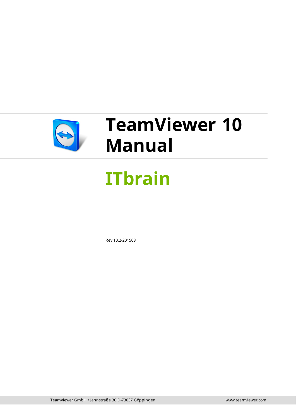

# **TeamViewer 10 Manual**

# **ITbrain**

Rev 10.2-201503

TeamViewer GmbH • Jahnstraße 30 D-73037 Göppingen www.teamviewer.com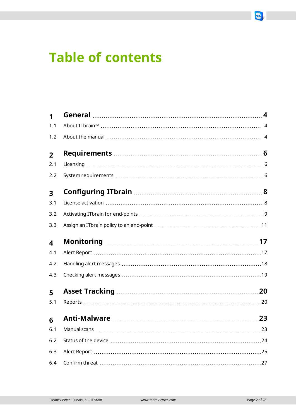# **Table of contents**

| 1                       |  |
|-------------------------|--|
| 1.1                     |  |
| 1.2                     |  |
| $\overline{2}$          |  |
| 2.1                     |  |
| 2.2                     |  |
| $\overline{\mathbf{3}}$ |  |
| 3.1                     |  |
| 3.2                     |  |
| 3.3                     |  |
| $\overline{\mathbf{4}}$ |  |
| 4.1                     |  |
| 4.2                     |  |
| 4.3                     |  |
| 5                       |  |
| 5.1                     |  |
| 6                       |  |
| 6.1                     |  |
| 6.2                     |  |
| 6.3                     |  |
| 6.4                     |  |

 $\bigodot$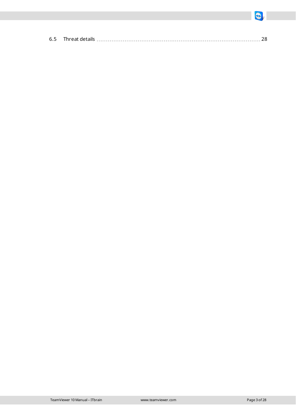$\bigodot$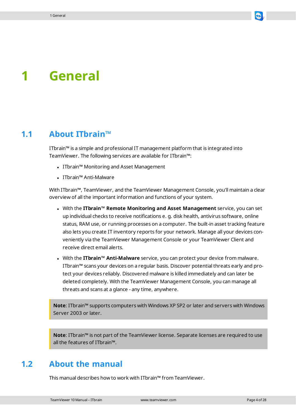# <span id="page-3-0"></span>**1 General**

### **1.1 About ITbrain™**

<span id="page-3-1"></span>ITbrain™ is a simple and professional IT management platform that is integrated into TeamViewer. The following services are available for ITbrain™:

- ITbrain™ Monitoring and Asset Management
- ITbrain™ Anti-Malware

With ITbrain™, TeamViewer, and the TeamViewer Management Console, you'll maintain a clear overview of all the important information and functions of your system.

- <sup>l</sup> With the **ITbrain™ Remote Monitoring and Asset Management** service, you can set up individual checks to receive notifications e. g. disk health, antivirus software, online status, RAM use, or running processes on a computer. The built-in asset tracking feature also lets you create IT inventory reports for your network. Manage all your devices conveniently via the TeamViewer Management Console or your TeamViewer Client and receive direct email alerts.
- <sup>l</sup> With the **ITbrain™ Anti-Malware** service, you can protect your device from malware. ITbrain™ scans your devices on a regular basis. Discover potential threats early and protect your devices reliably. Discovered malware is killed immediately and can later be deleted completely. With the TeamViewer Management Console, you can manage all threats and scans at a glance - any time, anywhere.

**Note**: ITbrain™ supports computers with Windows XP SP2 or later and servers with Windows Server 2003 or later.

<span id="page-3-2"></span>**Note**: ITbrain™ is not part of the TeamViewer license. Separate licenses are required to use all the features of ITbrain™.

### **1.2 About the manual**

This manual describes how to work with ITbrain™ from TeamViewer.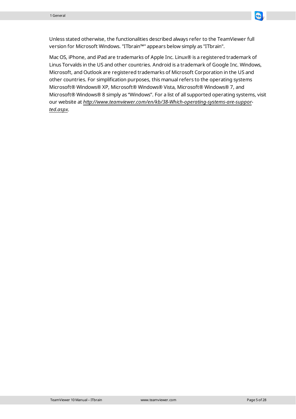

Mac OS, iPhone, and iPad are trademarks of Apple Inc. Linux® is a registered trademark of Linus Torvalds in the US and other countries. Android is a trademark of Google Inc. Windows, Microsoft, and Outlook are registered trademarks of Microsoft Corporation in the US and other countries. For simplification purposes, this manual refers to the operating systems Microsoft® Windows® XP, Microsoft® Windows® Vista, Microsoft® Windows® 7, and Microsoft® Windows® 8 simply as "Windows". For a list of all supported operating systems, visit our website at *[http://www.teamviewer.com/en/kb/38-Which-operating-systems-are-suppor](http://www.teamviewer.com/de/kb/38-Which-operating-systems-are-supported.aspx)[ted.aspx](http://www.teamviewer.com/de/kb/38-Which-operating-systems-are-supported.aspx)*.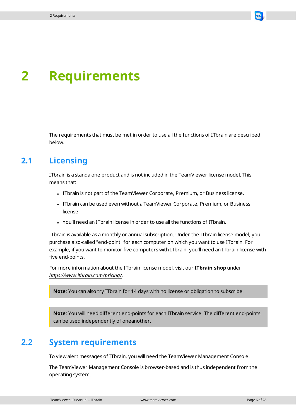

# <span id="page-5-0"></span>**2 Requirements**

<span id="page-5-1"></span>The requirements that must be met in order to use all the functions of ITbrain are described below.

## **2.1 Licensing**

ITbrain is a standalone product and is not included in the TeamViewer license model. This means that:

- <sup>l</sup> ITbrain is not part of the TeamViewer Corporate, Premium, or Business license.
- <sup>l</sup> ITbrain can be used even without a TeamViewer Corporate, Premium, or Business license.
- You'll need an ITbrain license in order to use all the functions of ITbrain.

ITbrain is available as a monthly or annual subscription. Under the ITbrain license model, you purchase a so-called "end-point" for each computer on which you want to use ITbrain. For example, if you want to monitor five computers with ITbrain, you'll need an ITbrain license with five end-points.

For more information about the ITbrain license model, visit our **ITbrain shop** under *<https://www.itbrain.com/pricing/>*.

**Note**: You can also try ITbrain for 14 days with no license or obligation to subscribe.

<span id="page-5-2"></span>**Note**: You will need different end-points for each ITbrain service. The different end-points can be used independently of oneanother.

# **2.2 System requirements**

To view alert messages of ITbrain, you will need the TeamViewer Management Console.

The TeamViewer Management Console is browser-based and is thus independent from the operating system.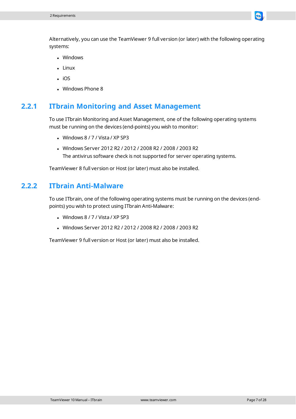

- **.** Windows
- $\blacksquare$  Linux
- $\cdot$  iOS
- Windows Phone 8

#### **2.2.1 ITbrain Monitoring and Asset Management**

To use ITbrain Monitoring and Asset Management, one of the following operating systems must be running on the devices (end-points) you wish to monitor:

- $\bullet$  Windows 8 / 7 / Vista / XP SP3
- Windows Server 2012 R2 / 2012 / 2008 R2 / 2008 / 2003 R2 The antivirus software check is not supported for server operating systems.

TeamViewer 8 full version or Host (or later) must also be installed.

#### **2.2.2 ITbrain Anti-Malware**

To use ITbrain, one of the following operating systems must be running on the devices (endpoints) you wish to protect using ITbrain Anti-Malware:

- $\bullet$  Windows 8 / 7 / Vista / XP SP3
- <sup>l</sup> Windows Server 2012 R2 / 2012 / 2008 R2 / 2008 / 2003 R2

TeamViewer 9 full version or Host (or later) must also be installed.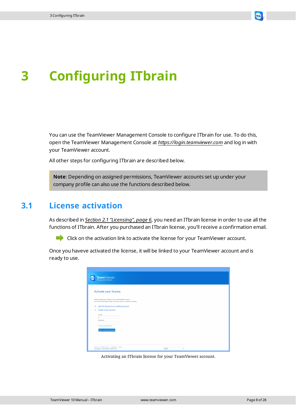

# <span id="page-7-0"></span>**3 Configuring ITbrain**

You can use the TeamViewer Management Console to configure ITbrain for use. To do this, open the TeamViewer Management Console at *[https://login.teamviewer.com](https://login.teamviewer.com/)* and log in with your TeamViewer account.

All other steps for configuring ITbrain are described below.

**Note**: Depending on assigned permissions, TeamViewer accounts set up under your company profile can also use the functions described below.

### **3.1 License activation**

<span id="page-7-1"></span>As described in *[Section 2.1 "Licensing",](#page-5-1) page 6*, you need an ITbrain license in order to use all the functions of ITbrain. After you purchased an ITbrain license, you'll receive a confirmation email.

Click on the activation link to activate the license for your TeamViewer account.

Once you haveve activated the license, it will be linked to your TeamViewer account and is ready to use.

| TeamViewer                                                                                                                        |               |
|-----------------------------------------------------------------------------------------------------------------------------------|---------------|
| Activate your license                                                                                                             |               |
| Please activate your license on your TeamViewer account.<br>You will be then able to login with your account to use your license. |               |
| Add the license to an existing account<br>$\circledast$                                                                           |               |
| Create a new account<br>$\circ$                                                                                                   |               |
| E-Mail<br>Password                                                                                                                |               |
| I forgot my password                                                                                                              |               |
| Sign in & activate license                                                                                                        |               |
|                                                                                                                                   |               |
| Imprint . Privacy Policy . Copyright . Apps<br>Copyright @ TeamViewer GmbH 2014                                                   | English<br>۰. |

Activating an ITbrain license for your TeamViewer account.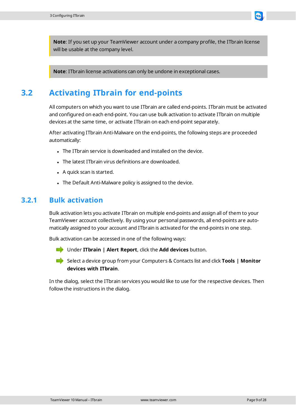

<span id="page-8-0"></span>**Note**: ITbrain license activations can only be undone in exceptional cases.

# **3.2 Activating ITbrain for end-points**

All computers on which you want to use ITbrain are called end-points. ITbrain must be activated and configured on each end-point. You can use bulk activation to activate ITbrain on multiple devices at the same time, or activate ITbrain on each end-point separately.

After activating ITbrain Anti-Malware on the end-points, the following steps are proceeded automatically:

- The ITbrain service is downloaded and installed on the device.
- The latest ITbrain virus definitions are downloaded.
- $\bullet$  A quick scan is started.
- The Default Anti-Malware policy is assigned to the device.

### **3.2.1 Bulk activation**

Bulk activation lets you activate ITbrain on multiple end-points and assign all of them to your TeamViewer account collectively. By using your personal passwords, all end-points are automatically assigned to your account and ITbrain is activated for the end-points in one step.

Bulk activation can be accessed in one of the following ways:

Under **ITbrain | Alert Report**, click the **Add devices** button.

Select a device group from your Computers & Contacts list and click **Tools | Monitor devices with ITbrain**.

In the dialog, select the ITbrain services you would like to use for the respective devices. Then follow the instructions in the dialog.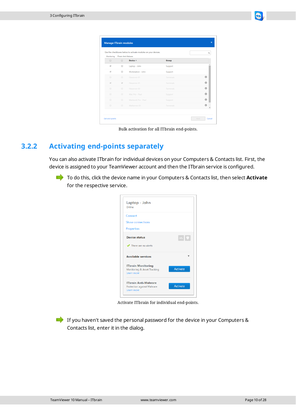|                          |                      | Use the checkboxes below to activate modules on your devices. |           | Q           |
|--------------------------|----------------------|---------------------------------------------------------------|-----------|-------------|
| Monitoring               | ITbrain Anti-Malware |                                                               |           |             |
| $\qquad \qquad \Box$     | 间                    | Device A                                                      | Group     |             |
| $\overline{\mathcal{A}}$ | $\qquad \qquad \Box$ | Laptop - John                                                 | Support   |             |
| $\phi^0$                 | $\Box$               | Workstation - John                                            | Support   |             |
| $\qquad \qquad \Box$     | $\qquad \qquad \Box$ | Fileserver-01                                                 | Terminals | $\odot$     |
| $\overline{\psi}$        | $\omega^{\mu}$       | Fileserver-01                                                 | Terminals | $\bigoplus$ |
| $\Box$                   | $\qquad \qquad \Box$ | Fileserver-02                                                 | Terminals | $\bigoplus$ |
| $\Box$                   | $\Box$               | Mac Pro - Paul                                                | Support   | $\bigcirc$  |
| $\Box$                   | $\qquad \qquad \Box$ | Macbook Pro - Paul                                            | Support   | $\odot$     |
| $\qquad \qquad \Box$     | $\qquad \qquad \Box$ | Mailserver-01                                                 | Terminals | $\Omega$    |

Bulk activation for all ITbrain end-points.

#### **3.2.2 Activating end-points separately**

You can also activate ITbrain for individual devices on your Computers & Contacts list. First, the device is assigned to your TeamViewer account and then the ITbrain service is configured.

To do this, click the device name in your Computers & Contacts list, then select **Activate** for the respective service.

| Laptop - John<br>Online                                                 |                             |
|-------------------------------------------------------------------------|-----------------------------|
| Connect                                                                 |                             |
| <b>Show connections</b>                                                 |                             |
| Properties                                                              |                             |
| <b>Device status</b>                                                    | $\mathbf{w}$ , $\mathbf{v}$ |
| $\blacktriangleright$ There are no alerts                               |                             |
| <b>Available services</b>                                               |                             |
| <b>ITbrain Monitoring</b><br>Monitoring & Asset Tracking<br>Learn more  | <b>Activate</b>             |
| <b>ITbrain Anti-Malware</b><br>Protection against Malware<br>Learn more | <b>Activate</b>             |

Activate ITbrain for individual end-points.

If you haven't saved the personal password for the device in your Computers & Contacts list, enter it in the dialog.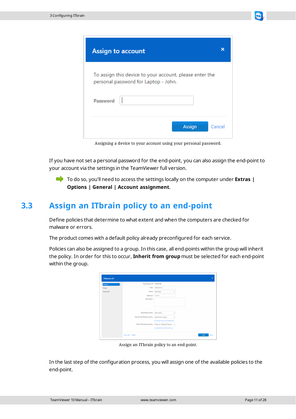

Assigning a device to your account using your personal password.

If you have not set a personal password for the end-point, you can also assign the end-point to your account via the settings in the TeamViewer full version.

<span id="page-10-0"></span>To do so, you'll need to access the settings locally on the computer under **Extras | Options | General | Account assignment**.

## **3.3 Assign an ITbrain policy to an end-point**

Define policies that determine to what extent and when the computers are checked for malware or errors.

The product comes with a default policy already preconfigured for each service.

Policies can also be assigned to a group. In this case, all end-points within the group will inherit the policy. In order for this to occur, **Inherit from group** must be selected for each end-point within the group.

| Fileserver-01 |                                  | $\pmb{\times}$                      |
|---------------|----------------------------------|-------------------------------------|
| General       | <b>TeamViewer-ID</b>             | 123456789                           |
| Notes         | Alias                            | Fileserver-01                       |
| Advanced      | Group                            | Terminals<br>٠                      |
|               | Password                         |                                     |
|               | Description                      |                                     |
|               |                                  |                                     |
|               |                                  |                                     |
|               | <b>TeamViewer policy</b>         | New policy<br>٠                     |
|               | ITbrain Anti-Malware policy      | Inherit from group<br>٠             |
|               |                                  | Uninstall ITbrain Anti-Malware      |
|               | <b>ITbrain Monitoring policy</b> | Policy for "Wayne Enterpri v        |
|               |                                  | <b>Uninstall ITbrain Monitoring</b> |
|               | Add note   Delete                | Close<br>Save                       |

Assign an ITbrain policy to an end-point.

In the last step of the configuration process, you will assign one of the available policies to the end-point.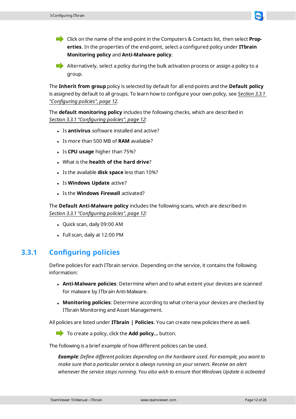Click on the name of the end-point in the Computers & Contacts list, then select **Properties**. In the properties of the end-point, select a configured policy under **ITbrain Monitoring policy** and **Anti-Malware policy**.

Alternatively, select a policy during the bulk activation process or assign a policy to a group.

The **Inherit from group** policy is selected by default for all end-points and the **Default policy** is assigned by default to all groups. To learn how to configure your own policy, see *[Section 3.3.1](#page-11-0)  ["Configuring](#page-11-0) policies", page 12*.

The **default monitoring policy** includes the following checks, which are described in *[Section 3.3.1 "Configuring](#page-11-0) policies", page 12*:

- <sup>l</sup> Is **antivirus** software installed and active?
- Is more than 500 MB of **RAM** available?
- Is **CPU usage** higher than 75%?
- <sup>l</sup> What is the **health of the hard drive**?
- <sup>l</sup> Is the available **disk space** less than 10%?
- <sup>l</sup> Is **Windows Update** active?
- **.** Is the **Windows Firewall** activated?

The **Default Anti-Malware policy** includes the following scans, which are described in *[Section 3.3.1 "Configuring](#page-11-0) policies", page 12*:

- Quick scan, daily 09:00 AM
- <span id="page-11-0"></span>• Full scan, daily at 12:00 PM

### **3.3.1 Configuring policies**

Define policies for each ITbrain service. Depending on the service, it contains the following information:

- <sup>l</sup> **Anti-Malware policies**: Determine when and to what extent your devices are scanned for malware by ITbrain Anti-Malware.
- <sup>l</sup> **Monitoring policies**: Determine according to what criteria your devices are checked by ITbrain Monitoring and Asset Management.

All policies are listed under **ITbrain | Policies**. You can create new policies there as well.

To create a policy, click the **Add policy...** button.

The following is a brief example of how different policies can be used.

*Example: Define different policies depending on the hardware used. For example, you want to make sure that a particular service is always running on your servers. Receive an alert whenever the service stops running. You also wish to ensure that Windows Update is activated*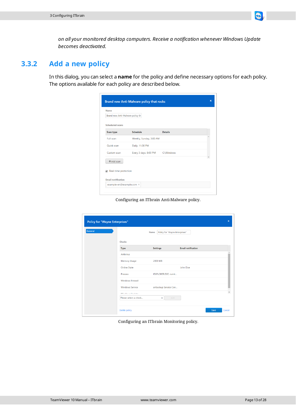

#### **3.3.2 Add a new policy**

In this dialog, you can select a **name** for the policy and define necessary options for each policy. The options available for each policy are described below.

| Name<br>Brand new Anti-Malware policy th         |                         |                |  |
|--------------------------------------------------|-------------------------|----------------|--|
| <b>Scheduled scans</b>                           |                         |                |  |
| <b>Scan type</b>                                 | <b>Schedule</b>         | <b>Details</b> |  |
| Full scan                                        | Weekly, Sunday, 3:00 AM |                |  |
| Quick scan                                       | Daily, 11:30 PM         |                |  |
| Custom scan                                      | Every 3 days, 8:00 PM   | C:\Windows     |  |
| $+$ Add scan                                     |                         |                |  |
|                                                  |                         |                |  |
| Real-time protection<br>$\overline{\mathcal{L}}$ |                         |                |  |

Configuring an ITbrain Anti-Malware policy.

| General |                                                            | Name                      | Policy for "Wayne Enterprises" |  |
|---------|------------------------------------------------------------|---------------------------|--------------------------------|--|
|         | <b>Checks</b>                                              |                           |                                |  |
|         | <b>Type</b>                                                | <b>Settings</b>           | <b>Email notification</b>      |  |
|         | <b>Antivirus</b>                                           |                           |                                |  |
|         | Memory Usage                                               | 2000 MB                   |                                |  |
|         | Online State                                               |                           | John Doe                       |  |
|         | Process                                                    | IEXPLORER.EXE. runni      |                                |  |
|         | <b>Windows Firewall</b>                                    |                           |                                |  |
|         | <b>Windows Service</b>                                     | airbackup Service Con     |                                |  |
|         | VARIA di accessione della di anno<br>Please select a check | $\boldsymbol{\mathrm{v}}$ | Add                            |  |

Configuring an ITbrain Monitoring policy.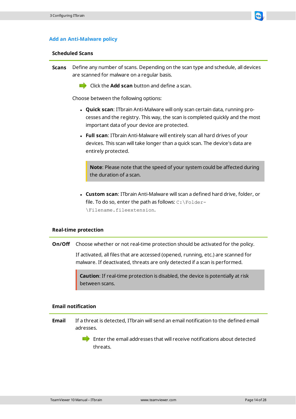

#### **Scheduled Scans**

- **Scans** Define any number of scans. Depending on the scan type and schedule, all devices are scanned for malware on a regular basis.
	- **Click the Add scan** button and define a scan.

Choose between the following options:

- **Quick scan**: ITbrain Anti-Malware will only scan certain data, running processes and the registry. This way, the scan is completed quickly and the most important data of your device are protected.
- <sup>l</sup> **Full scan**: ITbrain Anti-Malware will entirely scan all hard drives of your devices. This scan will take longer than a quick scan. The device's data are entirely protected.

**Note**: Please note that the speed of your system could be affected during the duration of a scan.

<sup>l</sup> **Custom scan**: ITbrain Anti-Malware will scan a defined hard drive, folder, or file. To do so, enter the path as follows:  $C:\Theta$ \Filename.fileextension.

#### **Real-time protection**

**On/Off** Choose whether or not real-time protection should be activated for the policy.

If activated, all files that are accessed (opened, running, etc.) are scanned for malware. If deactivated, threats are only detected if a scan is performed.

**Caution**: If real-time protection is disabled, the device is potentially at risk between scans.

#### **Email notification**

**Email** If a threat is detected, ITbrain will send an email notification to the defined email adresses.

> $\blacksquare$  Enter the email addresses that will receive notifications about detected threats.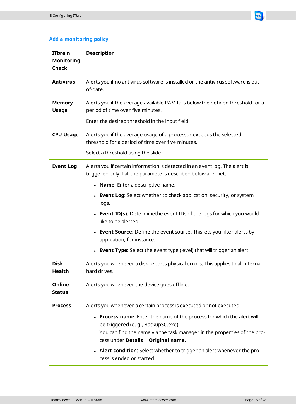

#### **Add a monitoring policy**

| <b>ITbrain</b><br><b>Monitoring</b><br><b>Check</b> | <b>Description</b>                                                                                                                                                                                                               |
|-----------------------------------------------------|----------------------------------------------------------------------------------------------------------------------------------------------------------------------------------------------------------------------------------|
| <b>Antivirus</b>                                    | Alerts you if no antivirus software is installed or the antivirus software is out-<br>of-date.                                                                                                                                   |
| <b>Memory</b><br><b>Usage</b>                       | Alerts you if the average available RAM falls below the defined threshold for a<br>period of time over five minutes.                                                                                                             |
|                                                     | Enter the desired threshold in the input field.                                                                                                                                                                                  |
| <b>CPU Usage</b>                                    | Alerts you if the average usage of a processor exceeds the selected<br>threshold for a period of time over five minutes.                                                                                                         |
|                                                     | Select a threshold using the slider.                                                                                                                                                                                             |
| <b>Event Log</b>                                    | Alerts you if certain information is detected in an event log. The alert is<br>triggered only if all the parameters described below are met.                                                                                     |
|                                                     | • Name: Enter a descriptive name.                                                                                                                                                                                                |
|                                                     | • Event Log: Select whether to check application, security, or system<br>logs.                                                                                                                                                   |
|                                                     | <b>Event ID(s):</b> Determinethe event IDs of the logs for which you would<br>like to be alerted.                                                                                                                                |
|                                                     | <b>Event Source:</b> Define the event source. This lets you filter alerts by<br>application, for instance.                                                                                                                       |
|                                                     | <b>Event Type:</b> Select the event type (level) that will trigger an alert.                                                                                                                                                     |
| <b>Disk</b><br>Health                               | Alerts you whenever a disk reports physical errors. This applies to all internal<br>hard drives.                                                                                                                                 |
| Online<br><b>Status</b>                             | Alerts you whenever the device goes offline.                                                                                                                                                                                     |
| <b>Process</b>                                      | Alerts you whenever a certain process is executed or not executed.                                                                                                                                                               |
|                                                     | • Process name: Enter the name of the process for which the alert will<br>be triggered (e. g., BackupSC.exe).<br>You can find the name via the task manager in the properties of the pro-<br>cess under Details   Original name. |
|                                                     | • Alert condition: Select whether to trigger an alert whenever the pro-<br>cess is ended or started.                                                                                                                             |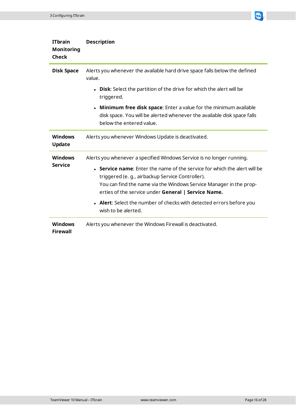| <b>IT</b> brain<br><b>Monitoring</b><br><b>Check</b> | <b>Description</b>                                                                                                                                                                                                                                                                                                                                                                                                                 |
|------------------------------------------------------|------------------------------------------------------------------------------------------------------------------------------------------------------------------------------------------------------------------------------------------------------------------------------------------------------------------------------------------------------------------------------------------------------------------------------------|
| <b>Disk Space</b>                                    | Alerts you whenever the available hard drive space falls below the defined<br>value.                                                                                                                                                                                                                                                                                                                                               |
|                                                      | <b>Disk:</b> Select the partition of the drive for which the alert will be<br>triggered.                                                                                                                                                                                                                                                                                                                                           |
|                                                      | <b>Minimum free disk space:</b> Enter a value for the minimum available<br>disk space. You will be alerted whenever the available disk space falls<br>below the entered value.                                                                                                                                                                                                                                                     |
| <b>Windows</b><br><b>Update</b>                      | Alerts you whenever Windows Update is deactivated.                                                                                                                                                                                                                                                                                                                                                                                 |
| <b>Windows</b><br><b>Service</b>                     | Alerts you whenever a specified Windows Service is no longer running.<br>• Service name: Enter the name of the service for which the alert will be<br>triggered (e. g., airbackup Service Controller).<br>You can find the name via the Windows Service Manager in the prop-<br>erties of the service under General   Service Name.<br>• Alert: Select the number of checks with detected errors before you<br>wish to be alerted. |
| <b>Windows</b><br><b>Firewall</b>                    | Alerts you whenever the Windows Firewall is deactivated.                                                                                                                                                                                                                                                                                                                                                                           |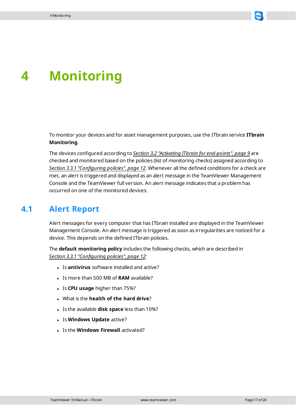

# <span id="page-16-0"></span>**4 Monitoring**

To monitor your devices and for asset management purposes, use the ITbrain service **ITbrain Monitoring**.

The devices configured according to *[Section 3.2 "Activating](#page-8-0) ITbrain for end-points", page 9* are checked and monitored based on the policies (list of monitoring checks) assigned according to *[Section 3.3.1 "Configuring](#page-11-0) policies", page 12*. Whenever all the defined conditions for a check are met, an alert is triggered and displayed as an alert message in the TeamViewer Management Console and the TeamViewer full version. An alert message indicates that a problem has occurred on one of the monitored devices.

# **4.1 Alert Report**

<span id="page-16-1"></span>Alert messages for every computer that has ITbrain installed are displayed in the TeamViewer Management Console. An alert message is triggered as soon as irregularities are noticed for a device. This depends on the defined ITbrain policies.

The **default monitoring policy** includes the following checks, which are described in *[Section 3.3.1 "Configuring](#page-11-0) policies", page 12*:

- <sup>l</sup> Is **antivirus** software installed and active?
- Is more than 500 MB of **RAM** available?
- <sup>l</sup> Is **CPU usage** higher than 75%?
- <sup>l</sup> What is the **health of the hard drive**?
- <sup>l</sup> Is the available **disk space** less than 10%?
- <sup>l</sup> Is **Windows Update** active?
- **.** Is the **Windows Firewall** activated?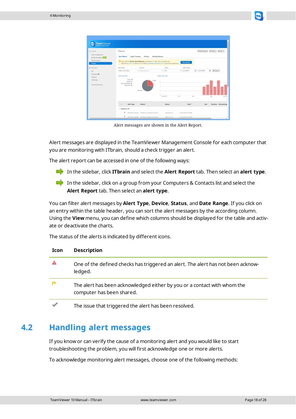

| <b>合 HOME</b>                                       | <b>ITbrain</b>                                                                                                      |                                                                                                       |                                  | + Add devices<br><b>☆ Tools</b> ▼<br>Export * |
|-----------------------------------------------------|---------------------------------------------------------------------------------------------------------------------|-------------------------------------------------------------------------------------------------------|----------------------------------|-----------------------------------------------|
| User management<br>Design & Deploy<br>Service queue | <b>Alert Report</b><br><b>Asset Tracking</b>                                                                        | Policies<br><b>Getting Started</b>                                                                    |                                  |                                               |
| <b>ITbrain</b><br><b>III</b> GROUPS                 | <sup>1</sup> Your trial for ITbrain Anti-Malware will expire in 17 days. Buy a license now.<br>Alert Type<br>Device | Feel free to call us or send us an E-Mail to sales@teamviewer.com in case of any questions.<br>Status | <b>Buy license</b><br>Date range |                                               |
| All                                                 | Select alert type<br>v   Select device                                                                              | $+$ All                                                                                               | 田<br>$-9/1/2014$                 | 田<br>O View -<br>12/31/2014                   |
| Helpdesk<br>Support<br>Terminals<br>Unnamed devices | Alert summary<br>Total: 11<br>Failed: 3<br>Acknowledged: 0<br>Resolved: 8<br>Resolved                               | Alerts over time<br>- Falled<br>ö.<br>$\circ$<br>Sep. 2014                                            | os.<br>Nov                       | Dec<br>Jan. 20                                |
|                                                     | Alert Type<br><b>Details</b><br>$\Box$                                                                              | Device                                                                                                | Start <sup>v</sup>               | End<br>Duration Acknowledge                   |

Alert messages are shown in the Alert Report.

Alert messages are displayed in the TeamViewer Management Console for each computer that you are monitoring with ITbrain, should a check trigger an alert.

The alert report can be accessed in one of the following ways:

- In the sidebar, click **ITbrain** and select the **Alert Report** tab. Then select an **alert type**.
- In the sidebar, click on a group from your Computers & Contacts list and select the **Alert Report** tab. Then select an **alert type**.

You can filter alert messages by **Alert Type**, **Device**, **Status**, and **Date Range**. If you click on an entry within the table header, you can sort the alert messages by the according column. Using the **View** menu, you can define which columns should be displayed for the table and activate or deactivate the charts.

The status of the alerts is indicated by different icons.

| <b>Icon</b> | <b>Description</b>                                                                                    |
|-------------|-------------------------------------------------------------------------------------------------------|
|             | One of the defined checks has triggered an alert. The alert has not been acknow-<br>ledged.           |
| ĸ           | The alert has been acknowledged either by you or a contact with whom the<br>computer has been shared. |
|             | The issue that triggered the alert has been resolved.                                                 |

### **4.2 Handling alert messages**

<span id="page-17-0"></span>If you know or can verify the cause of a monitoring alert and you would like to start troubleshooting the problem, you will first acknowledge one or more alerts.

To acknowledge monitoring alert messages, choose one of the following methods: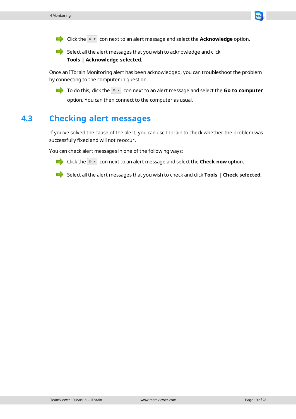

 $\blacksquare$  Select all the alert messages that you wish to acknowledge and click **Tools | Acknowledge selected.**

Once an ITbrain Monitoring alert has been acknowledged, you can troubleshoot the problem by connecting to the computer in question.

To do this, click the  $\sqrt{\ }$  icon next to an alert message and select the **Go to computer** option. You can then connect to the computer as usual.

# **4.3 Checking alert messages**

<span id="page-18-0"></span>If you've solved the cause of the alert, you can use ITbrain to check whether the problem was successfully fixed and will not reoccur.

You can check alert messages in one of the following ways:



**Click the**  $\phi$   $\mathbf{r}$  icon next to an alert message and select the **Check now** option.

Select all the alert messages that you wish to check and click **Tools | Check selected.**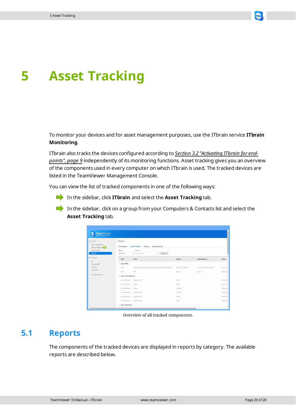

# <span id="page-19-0"></span>**5 Asset Tracking**

To monitor your devices and for asset management purposes, use the ITbrain service **ITbrain Monitoring**.

ITbrain also tracks the devices configured according to *[Section 3.2 "Activating](#page-8-0) ITbrain for end[points",](#page-8-0) page 9* independently of its monitoring functions. Asset tracking gives you an overview of the components used in every computer on which ITbrain is used. The tracked devices are listed in the TeamViewer Management Console.

You can view the list of tracked components in one of the following ways:

- In the sidebar, click **ITbrain** and select the **Asset Tracking** tab.
- In the sidebar, click on a group from your Computers & Contacts list and select the **Asset Tracking** tab.

| TeamViewer<br>Management Console                       |                                       |                                                                    |                  |                           |               |
|--------------------------------------------------------|---------------------------------------|--------------------------------------------------------------------|------------------|---------------------------|---------------|
| <b>THOME</b><br>User management<br>Design & Deploy 150 | <b>ITbrain</b><br><b>Alert Report</b> | <b>Asset Tracking</b><br><b>Policies</b><br><b>Getting Started</b> |                  |                           |               |
| Service queue<br><b>ITbrain</b>                        | Report<br>Hardware                    | Device<br>O View -<br>v Select device<br>٠.                        |                  |                           |               |
| <b>III</b> GROUPS<br>AII                               | Type                                  | <b>Name</b>                                                        | <b>Details</b>   | Manufacturer <sup>7</sup> | <b>Device</b> |
| Helpdesk <sup>dill</sup>                               | Type: BIOS                            |                                                                    |                  |                           |               |
| Support                                                | <b>BIOS</b>                           | Phoenix SecureCore(tm) NB Version 05JD.M017.20100325.KSJ           | SECCSD - 6040000 | Phoenix Technologies Ltd. | Fileserve     |
| Terminals                                              | <b>BIOS</b>                           | A04                                                                | DELL-1           | Dell Inc.                 | Workstat      |
| Unnamed devices                                        | J Type: Cache Memory                  |                                                                    |                  |                           |               |
|                                                        | Cache Memory                          | Single-bit ECC                                                     | 32KB             |                           | Workstat      |
|                                                        | Cache Memory                          | Cache                                                              | <b>64KB</b>      |                           | Fileserve     |
|                                                        | Cache Memory                          | Cache                                                              | 1.024KB          |                           | Fileserve     |
|                                                        | Cache Memory                          | Single-bit ECC                                                     | 3.072KB          |                           | Workstat      |
|                                                        | Cache Memory                          | Single-bit ECC                                                     | 256KB            |                           | Workstat      |
|                                                        | Cache Memory                          | Single-bit ECC                                                     | 32KB             |                           | Workstaf      |

Overview of all tracked components.

#### **5.1 Reports**

<span id="page-19-1"></span>The components of the tracked devices are displayed in reports by category. The available reports are described below.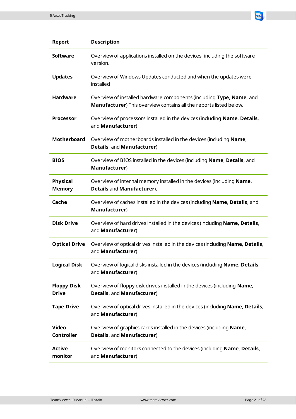

| <b>Report</b>                      | <b>Description</b>                                                                                                                                 |
|------------------------------------|----------------------------------------------------------------------------------------------------------------------------------------------------|
| <b>Software</b>                    | Overview of applications installed on the devices, including the software<br>version.                                                              |
| <b>Updates</b>                     | Overview of Windows Updates conducted and when the updates were<br>installed                                                                       |
| <b>Hardware</b>                    | Overview of installed hardware components (including Type, Name, and<br><b>Manufacturer</b> ) This overview contains all the reports listed below. |
| <b>Processor</b>                   | Overview of processors installed in the devices (including Name, Details,<br>and <b>Manufacturer</b> )                                             |
| <b>Motherboard</b>                 | Overview of motherboards installed in the devices (including <b>Name</b> ,<br><b>Details, and Manufacturer)</b>                                    |
| <b>BIOS</b>                        | Overview of BIOS installed in the devices (including <b>Name, Details</b> , and<br>Manufacturer)                                                   |
| <b>Physical</b><br><b>Memory</b>   | Overview of internal memory installed in the devices (including <b>Name</b> ,<br><b>Details and Manufacturer).</b>                                 |
| Cache                              | Overview of caches installed in the devices (including Name, Details, and<br>Manufacturer)                                                         |
| <b>Disk Drive</b>                  | Overview of hard drives installed in the devices (including Name, Details,<br>and Manufacturer)                                                    |
| <b>Optical Drive</b>               | Overview of optical drives installed in the devices (including Name, Details,<br>and <b>Manufacturer</b> )                                         |
| <b>Logical Disk</b>                | Overview of logical disks installed in the devices (including Name, Details,<br>and Manufacturer)                                                  |
| <b>Floppy Disk</b><br><b>Drive</b> | Overview of floppy disk drives installed in the devices (including Name,<br>Details, and Manufacturer)                                             |
| <b>Tape Drive</b>                  | Overview of optical drives installed in the devices (including Name, Details,<br>and Manufacturer)                                                 |
| <b>Video</b><br><b>Controller</b>  | Overview of graphics cards installed in the devices (including Name,<br>Details, and Manufacturer)                                                 |
| <b>Active</b><br>monitor           | Overview of monitors connected to the devices (including Name, Details,<br>and <b>Manufacturer</b> )                                               |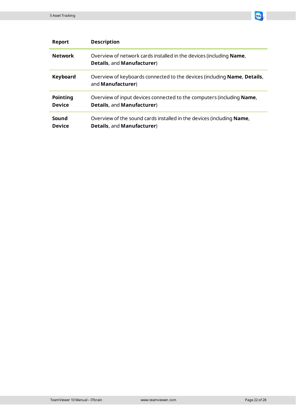

| Report                           | <b>Description</b>                                                                                               |  |
|----------------------------------|------------------------------------------------------------------------------------------------------------------|--|
| <b>Network</b>                   | Overview of network cards installed in the devices (including <b>Name</b> ,<br><b>Details, and Manufacturer)</b> |  |
| Keyboard                         | Overview of keyboards connected to the devices (including <b>Name, Details,</b><br>and <b>Manufacturer</b> )     |  |
| <b>Pointing</b><br><b>Device</b> | Overview of input devices connected to the computers (including Name,<br><b>Details, and Manufacturer)</b>       |  |
| Sound<br><b>Device</b>           | Overview of the sound cards installed in the devices (including Name,<br><b>Details, and Manufacturer)</b>       |  |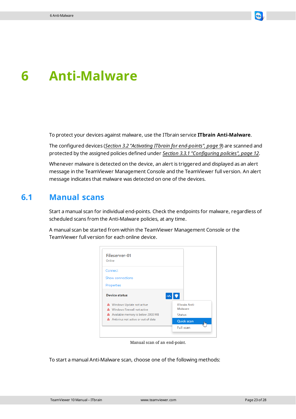

# <span id="page-22-0"></span>**6 Anti-Malware**

To protect your devices against malware, use the ITbrain service **ITbrain Anti-Malware**.

The configured devices (*[Section 3.2 "Activating](#page-8-0) ITbrain for end-points", page 9*) are scanned and protected by the assigned policies defined under *[Section 3.3.1 "Configuring](#page-11-0) policies", page 12*.

Whenever malware is detected on the device, an alert is triggered and displayed as an alert message in the TeamViewer Management Console and the TeamViewer full version. An alert message indicates that malware was detected on one of the devices.

### **6.1 Manual scans**

<span id="page-22-1"></span>Start a manual scan for individual end-points. Check the endpoints for malware, regardless of scheduled scans from the Anti-Malware policies, at any time.

A manual scan be started from within the TeamViewer Management Console or the TeamViewer full version for each online device.



Manual scan of an end-point.

To start a manual Anti-Malware scan, choose one of the following methods: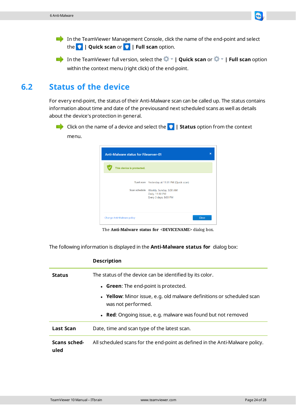

<span id="page-23-0"></span>In the TeamViewer full version, select the **| Quick scan** or **| Full scan** option within the context menu (right click) of the end-point.

# **6.2 Status of the device**

For every end-point, the status of their Anti-Malware scan can be called up. The status contains information about time and date of the previousand next scheduled scans as well as details about the device's protection in general.

Click on the name of a device and select the **| Status** option from the context menu.



The **Anti-Malware status for <DEVICENAME>** dialog box.

The following information is displayed in the **Anti-Malware status for** dialog box:

**Description**

| <b>Status</b>                        | The status of the device can be identified by its color.                                    |  |
|--------------------------------------|---------------------------------------------------------------------------------------------|--|
| • Green: The end-point is protected. |                                                                                             |  |
|                                      | • Yellow: Minor issue, e.g. old malware definitions or scheduled scan<br>was not performed. |  |
|                                      | • Red: Ongoing issue, e.g. malware was found but not removed                                |  |
| <b>Last Scan</b>                     | Date, time and scan type of the latest scan.                                                |  |
| Scans sched-<br>uled                 | All scheduled scans for the end-point as defined in the Anti-Malware policy.                |  |

TeamViewer 10 Manual – ITbrain www.teamviewer.com Page 24 of 28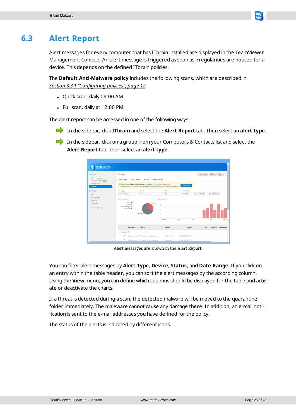

<span id="page-24-0"></span>Alert messages for every computer that has ITbrain installed are displayed in the TeamViewer Management Console. An alert message is triggered as soon as irregularities are noticed for a device. This depends on the defined ITbrain policies.

The **Default Anti-Malware policy** includes the following scans, which are described in *[Section 3.3.1 "Configuring](#page-11-0) policies", page 12*:

- Quick scan, daily 09:00 AM
- $\bullet$  Full scan, daily at 12:00 PM

The alert report can be accessed in one of the following ways:

- In the sidebar, click **ITbrain** and select the **Alert Report** tab. Then select an **alert type**.
- In the sidebar, click on a group from your Computers & Contacts list and select the **Alert Report** tab. Then select an **alert type**.



Alert messages are shown in the Alert Report.

You can filter alert messages by **Alert Type**, **Device**, **Status**, and **Date Range**. If you click on an entry within the table header, you can sort the alert messages by the according column. Using the **View** menu, you can define which columns should be displayed for the table and activate or deactivate the charts.

If a threat is detected during a scan, the detected malware will be moved to the quarantine folder immediately. The maleware cannot cause any damage there. In addition, an e-mail notification is sent to the e-mail addresses you have defined for the policy.

The status of the alerts is indicated by different icons.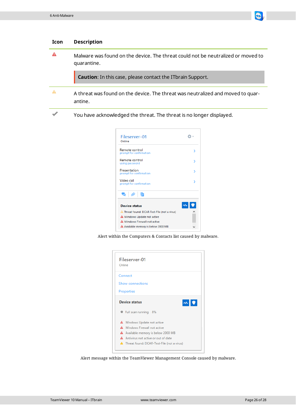

卷。 Fileserver-01 Online Remote control  $\overline{\phantom{a}}$ Remote control  $\overline{\phantom{a}}$ g pas Presentation  $\,$ nfirmation not for co Video call  $\overline{\phantom{a}}$ ior confirmation  $\oslash$  6 e. 1  $\mathbf{w}$   $\bullet$ **Device status** A Threat found: EICAR-Test-File (not a virus) A Windows Update not active A Windows Firewall not active A Available memory is below 2000 MB  $\checkmark$ 

Alert within the Computers & Contacts list caused by malware.

| Fileserver-01<br>Online |                                                      |  |  |
|-------------------------|------------------------------------------------------|--|--|
|                         | Connect                                              |  |  |
|                         | Show connections                                     |  |  |
|                         | Properties                                           |  |  |
|                         | $\left \mathbf{w}\right $ ,<br><b>Device status</b>  |  |  |
|                         | ※ Full scan running 8%                               |  |  |
|                         | <b>A</b> Windows Update not active                   |  |  |
|                         | A Windows Firewall not active                        |  |  |
|                         | A Available memory is below 2000 MB                  |  |  |
|                         | A Antivirus not active or out of date                |  |  |
|                         | <b>A</b> Threat found: EICAR-Test-File (not a virus) |  |  |

Alert message within the TeamViewer Management Console caused by malware.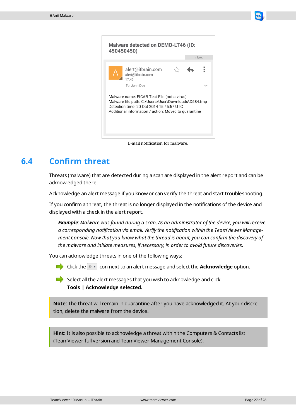



E-mail notification for malware.

# **6.4 Confirm threat**

<span id="page-26-0"></span>Threats (malware) that are detected during a scan are displayed in the alert report and can be acknowledged there.

Acknowledge an alert message if you know or can verify the threat and start troubleshooting.

If you confirm a threat, the threat is no longer displayed in the notifications of the device and displayed with a check in the alert report.

*Example: Malware was found during a scan. As an administrator of the device, you willreceive a corresponding notification via email. Verify the notification within the TeamViewer Management Console. Now that you know what the thread is about, you can confirm the discovery of the malware and initiate measures, if necessary, in order to avoid future discoveries.*

You can acknowledge threats in one of the following ways:

Click the  $\bullet$  vicon next to an alert message and select the **Acknowledge** option.

 $\blacksquare$  Select all the alert messages that you wish to acknowledge and click **Tools | Acknowledge selected.**

**Note**: The threat will remain in quarantine after you have acknowledged it. At your discretion, delete the malware from the device.

**Hint**: It is also possible to acknowledge a threat within the Computers & Contacts list (TeamViewer full version and TeamViewer Management Console).